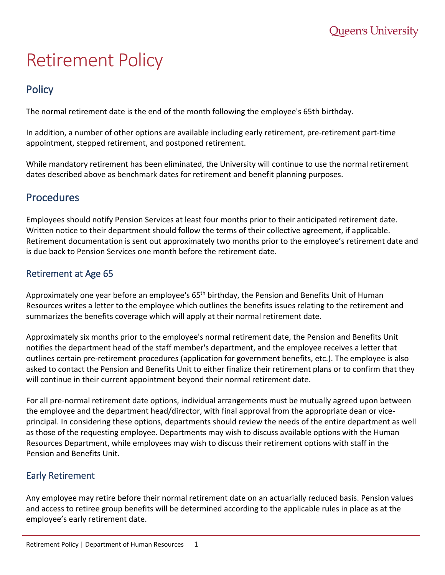# Retirement Policy

# **Policy**

The normal retirement date is the end of the month following the employee's 65th birthday.

In addition, a number of other options are available including early retirement, pre-retirement part-time appointment, stepped retirement, and postponed retirement.

While mandatory retirement has been eliminated, the University will continue to use the normal retirement dates described above as benchmark dates for retirement and benefit planning purposes.

# Procedures

Employees should notify Pension Services at least four months prior to their anticipated retirement date. Written notice to their department should follow the terms of their collective agreement, if applicable. Retirement documentation is sent out approximately two months prior to the employee's retirement date and is due back to Pension Services one month before the retirement date.

### Retirement at Age 65

Approximately one year before an employee's 65<sup>th</sup> birthday, the Pension and Benefits Unit of Human Resources writes a letter to the employee which outlines the benefits issues relating to the retirement and summarizes the benefits coverage which will apply at their normal retirement date.

Approximately six months prior to the employee's normal retirement date, the Pension and Benefits Unit notifies the department head of the staff member's department, and the employee receives a letter that outlines certain pre-retirement procedures (application for government benefits, etc.). The employee is also asked to contact the Pension and Benefits Unit to either finalize their retirement plans or to confirm that they will continue in their current appointment beyond their normal retirement date.

For all pre-normal retirement date options, individual arrangements must be mutually agreed upon between the employee and the department head/director, with final approval from the appropriate dean or viceprincipal. In considering these options, departments should review the needs of the entire department as well as those of the requesting employee. Departments may wish to discuss available options with the Human Resources Department, while employees may wish to discuss their retirement options with staff in the Pension and Benefits Unit.

## Early Retirement

Any employee may retire before their normal retirement date on an actuarially reduced basis. Pension values and access to retiree group benefits will be determined according to the applicable rules in place as at the employee's early retirement date.